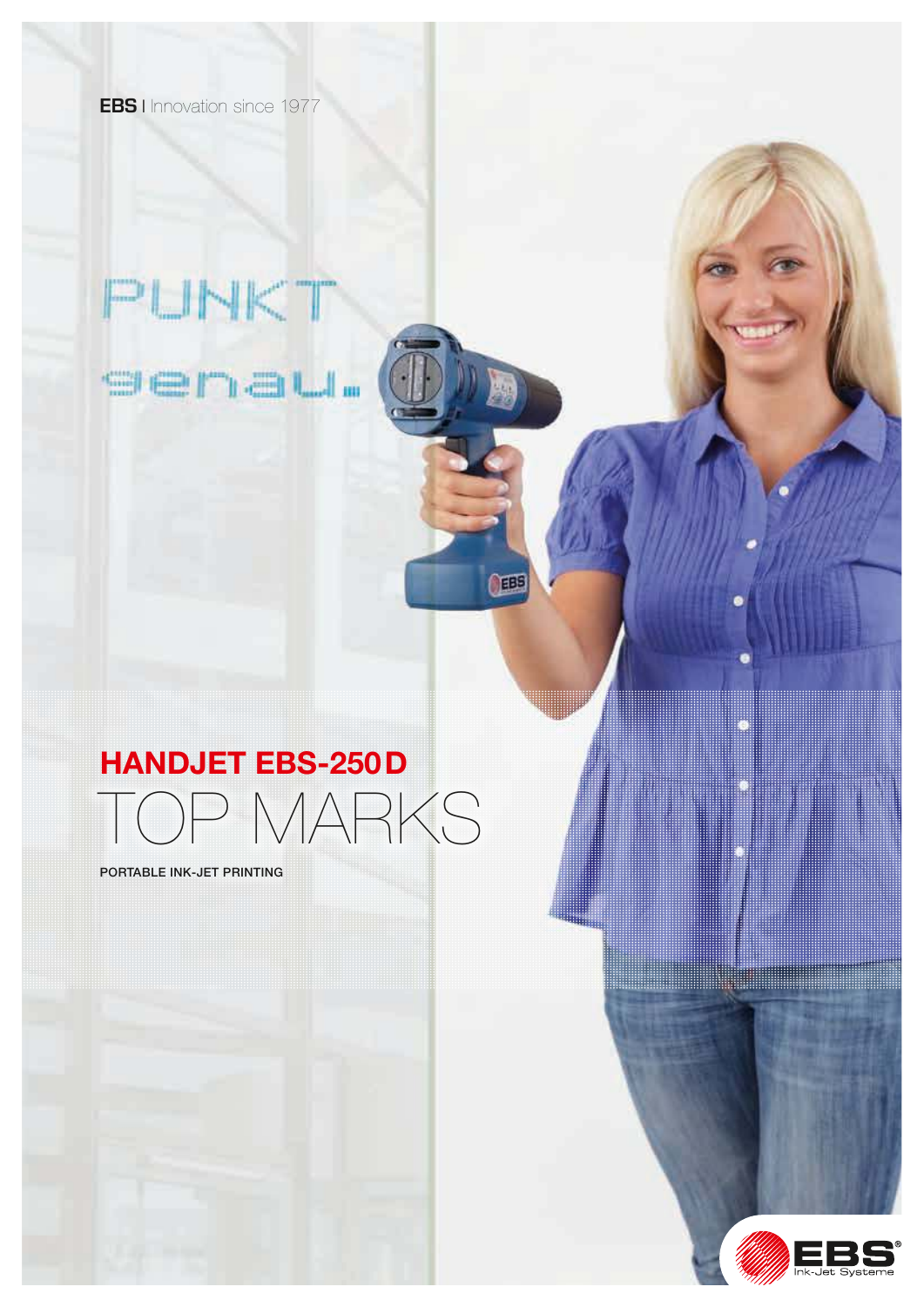**EBS** I Innovation since 1977

# PUNKT

sena**u**.

## HANDJET EBS-250D

TOP MARKS

TEBE

PORTABLE INK-JET PRINTING

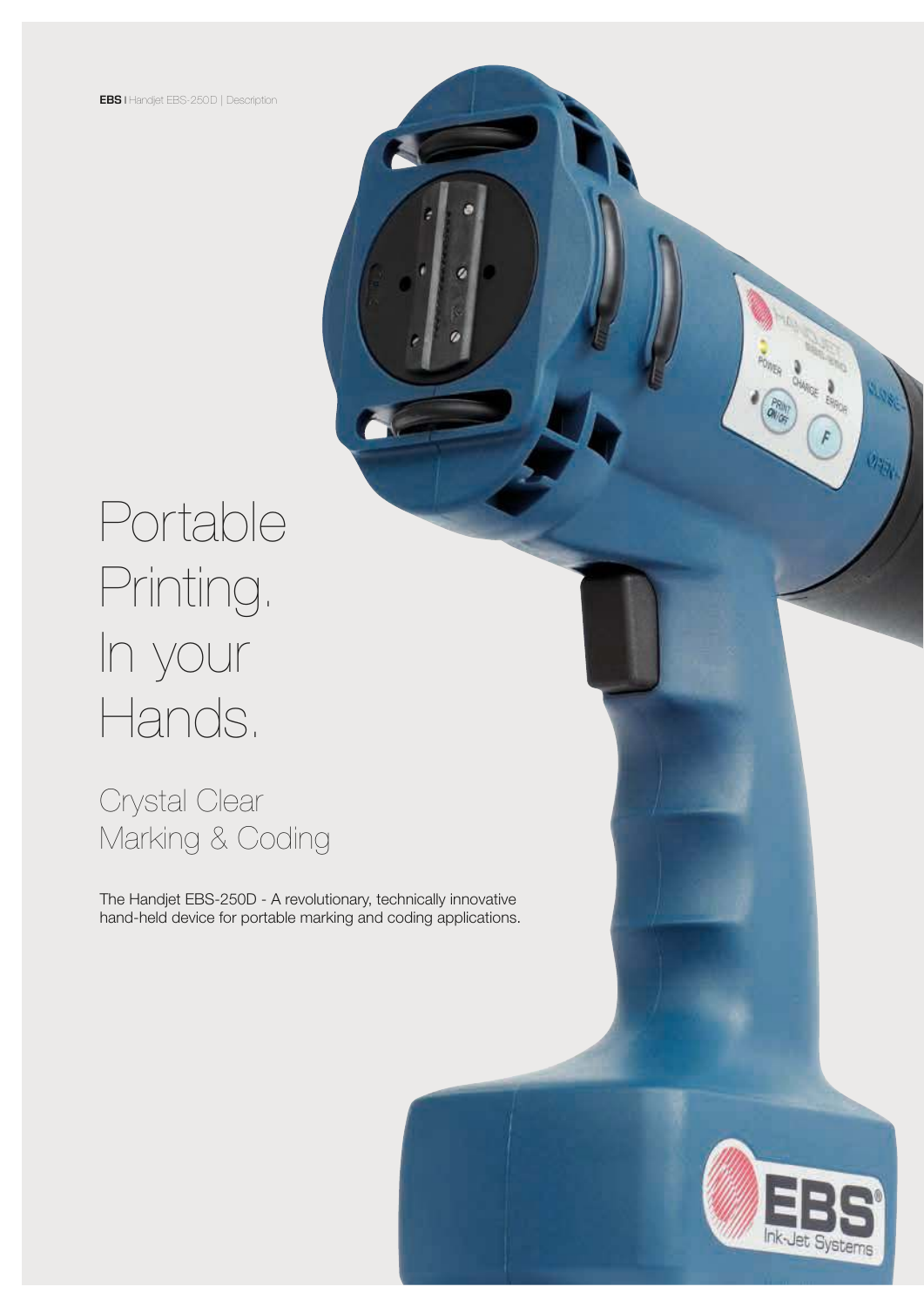# Portable Printing. In your Hands.

Crystal Clear Marking & Coding

The Handjet EBS-250D - A revolutionary, technically innovative hand-held device for portable marking and coding applications.



**FORD BANK**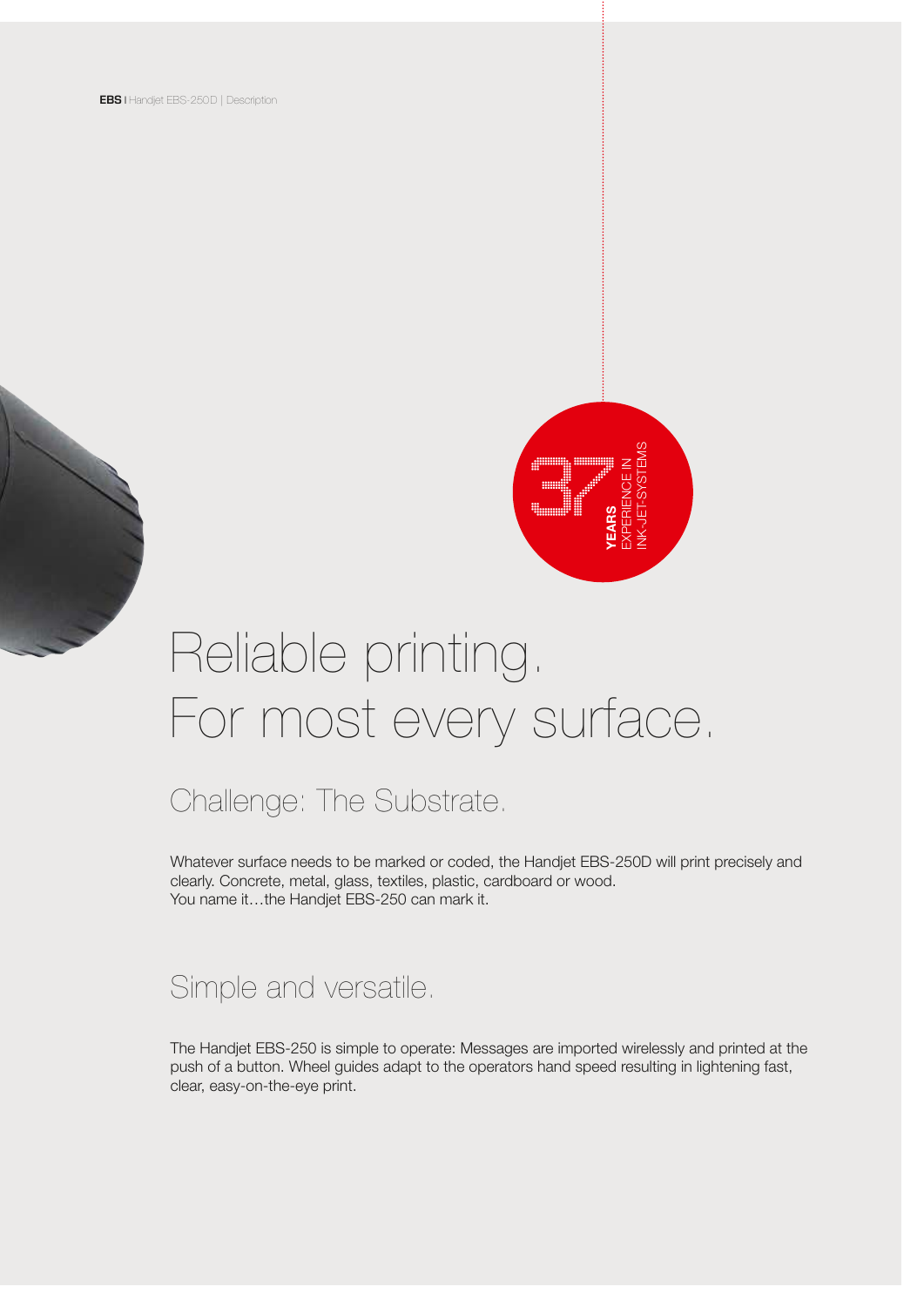

# Reliable printing. For most every surface.

## Challenge: The Substrate.

Whatever surface needs to be marked or coded, the Handjet EBS-250D will print precisely and clearly. Concrete, metal, glass, textiles, plastic, cardboard or wood. You name it…the Handjet EBS-250 can mark it.

### Simple and versatile.

The Handjet EBS-250 is simple to operate: Messages are imported wirelessly and printed at the push of a button. Wheel guides adapt to the operators hand speed resulting in lightening fast, clear, easy-on-the-eye print.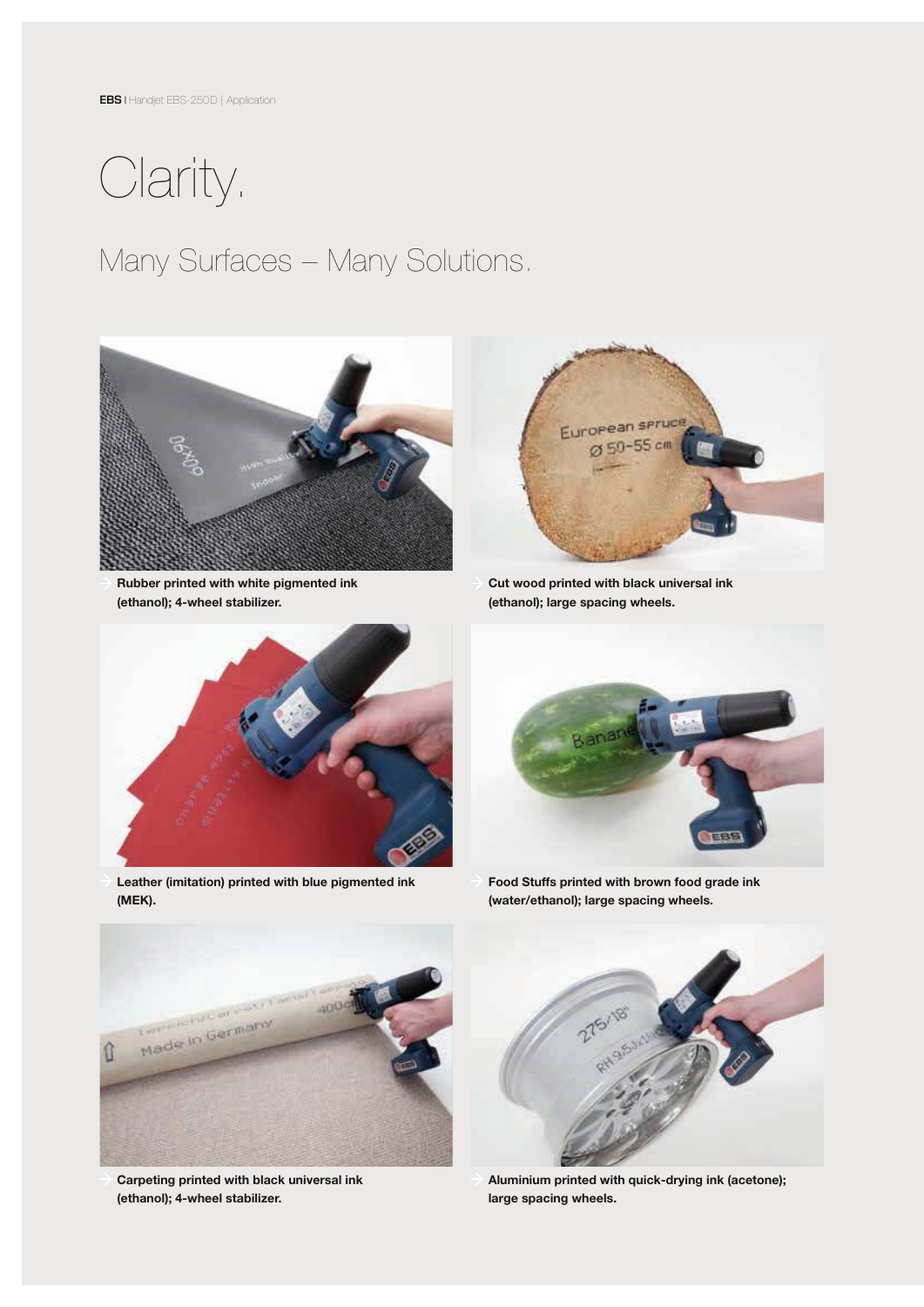

## Many Surfaces – Many Solutions.



 Rubber printed with white pigmented ink (ethanol); 4-wheel stabilizer.



 Cut wood printed with black universal ink (ethanol); large spacing wheels.



 Leather (imitation) printed with blue pigmented ink (MEK).



 Food Stuffs printed with brown food grade ink (water/ethanol); large spacing wheels.



 Carpeting printed with black universal ink (ethanol); 4-wheel stabilizer.



 Aluminium printed with quick-drying ink (acetone); large spacing wheels.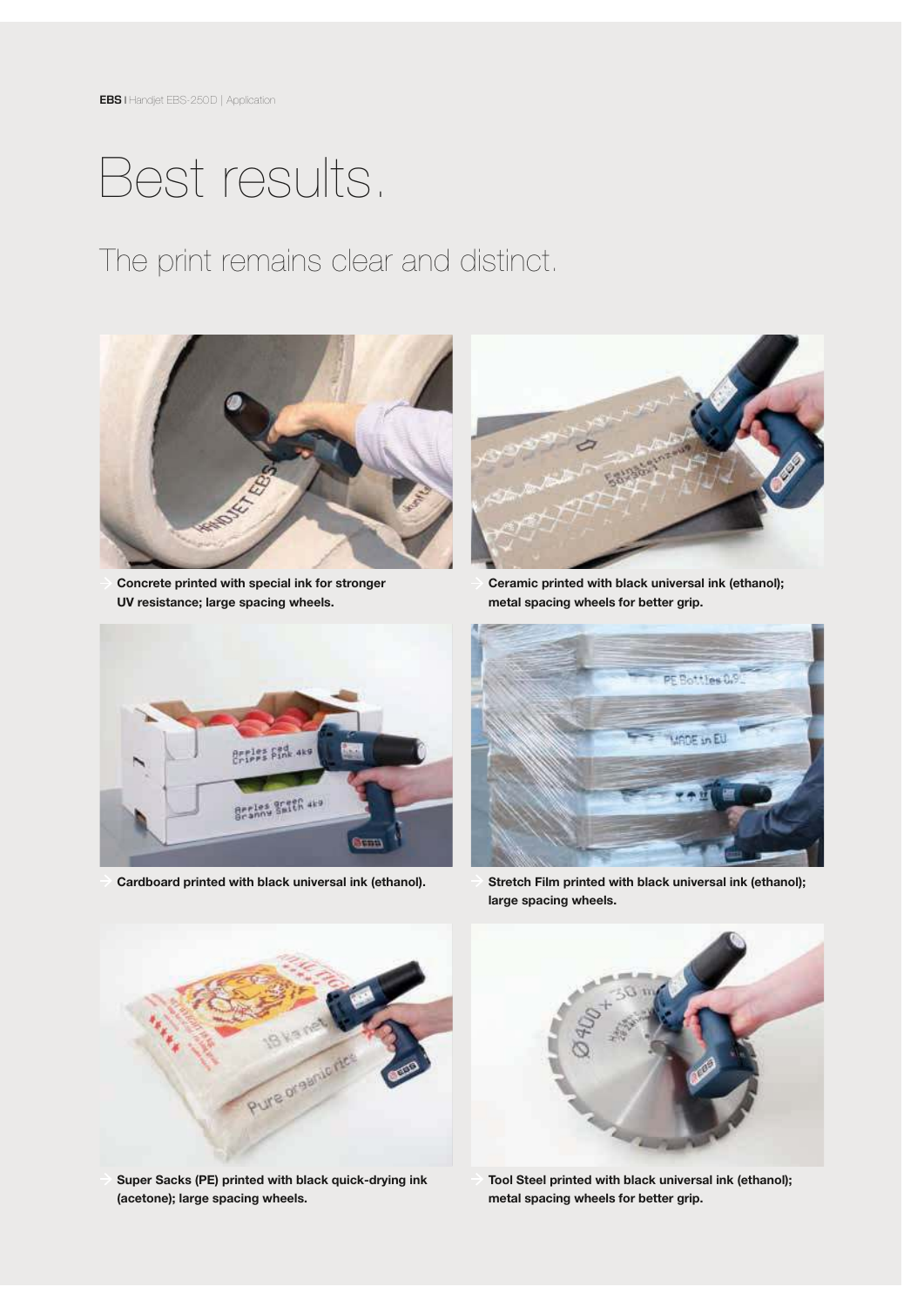## Best results.

The print remains clear and distinct.



 Concrete printed with special ink for stronger UV resistance; large spacing wheels.



 Ceramic printed with black universal ink (ethanol); metal spacing wheels for better grip.



Cardboard printed with black universal ink (ethanol).



 Stretch Film printed with black universal ink (ethanol); large spacing wheels.



 Super Sacks (PE) printed with black quick-drying ink (acetone); large spacing wheels.



 Tool Steel printed with black universal ink (ethanol); metal spacing wheels for better grip.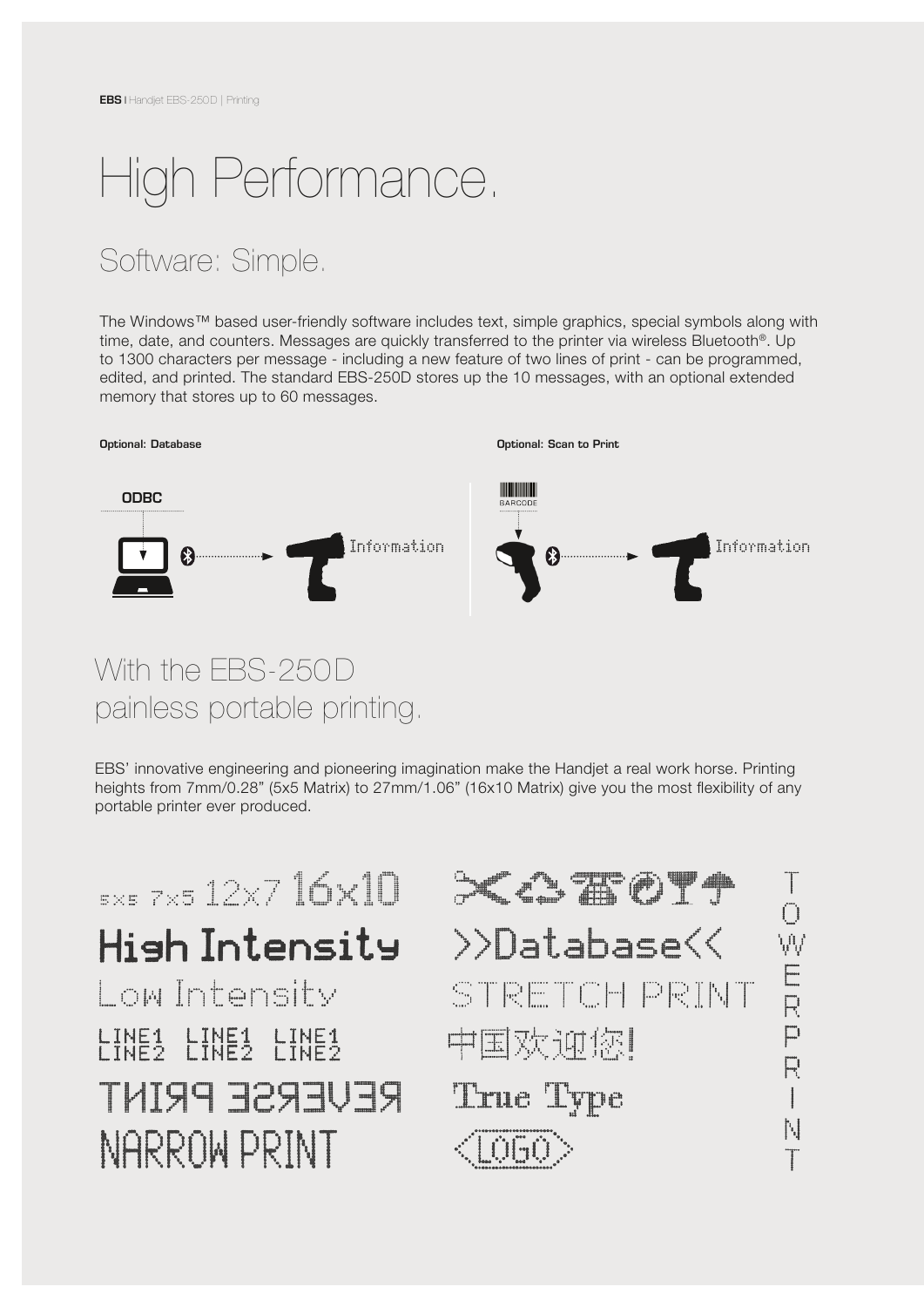# High Performance.

## Software: Simple.

The Windows™ based user-friendly software includes text, simple graphics, special symbols along with time, date, and counters. Messages are quickly transferred to the printer via wireless Bluetooth<sup>®</sup>. Up to 1300 characters per message - including a new feature of two lines of print - can be programmed, edited, and printed. The standard EBS-250D stores up the 10 messages, with an optional extended memory that stores up to 60 messages.



### With the EBS-250D painless portable printing.

EBS' innovative engineering and pioneering imagination make the Handjet a real work horse. Printing heights from 7mm/0.28" (5x5 Matrix) to 27mm/1.06" (16x10 Matrix) give you the most flexibility of any portable printer ever produced.

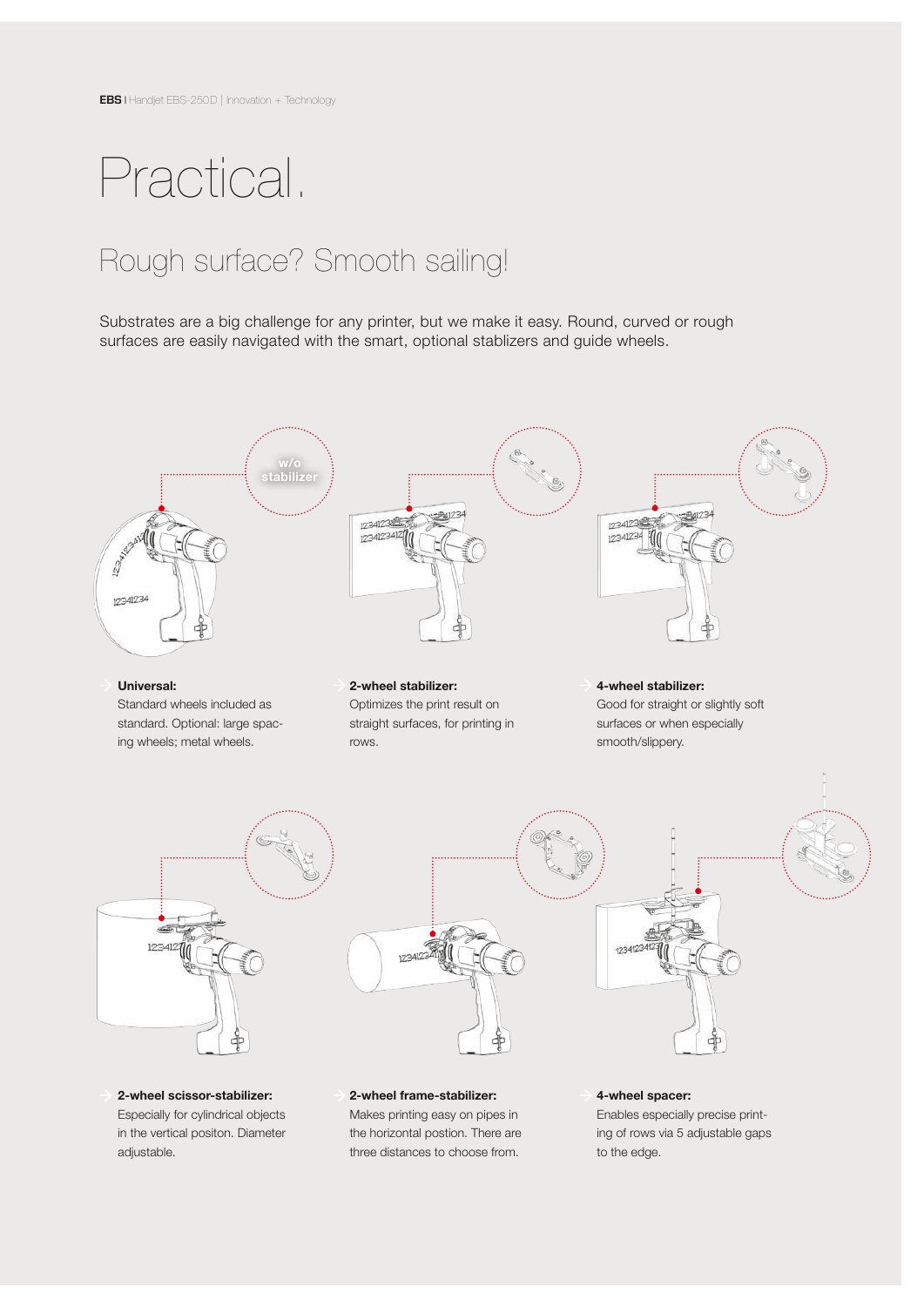## Practical.

in the vertical positon. Diameter

adjustable.

## Rough surface? Smooth sailing!

Substrates are a big challenge for any printer, but we make it easy. Round, curved or rough surfaces are easily navigated with the smart, optional stablizers and guide wheels.



the horizontal postion. There are three distances to choose from.

ing of rows via 5 adjustable gaps

to the edge.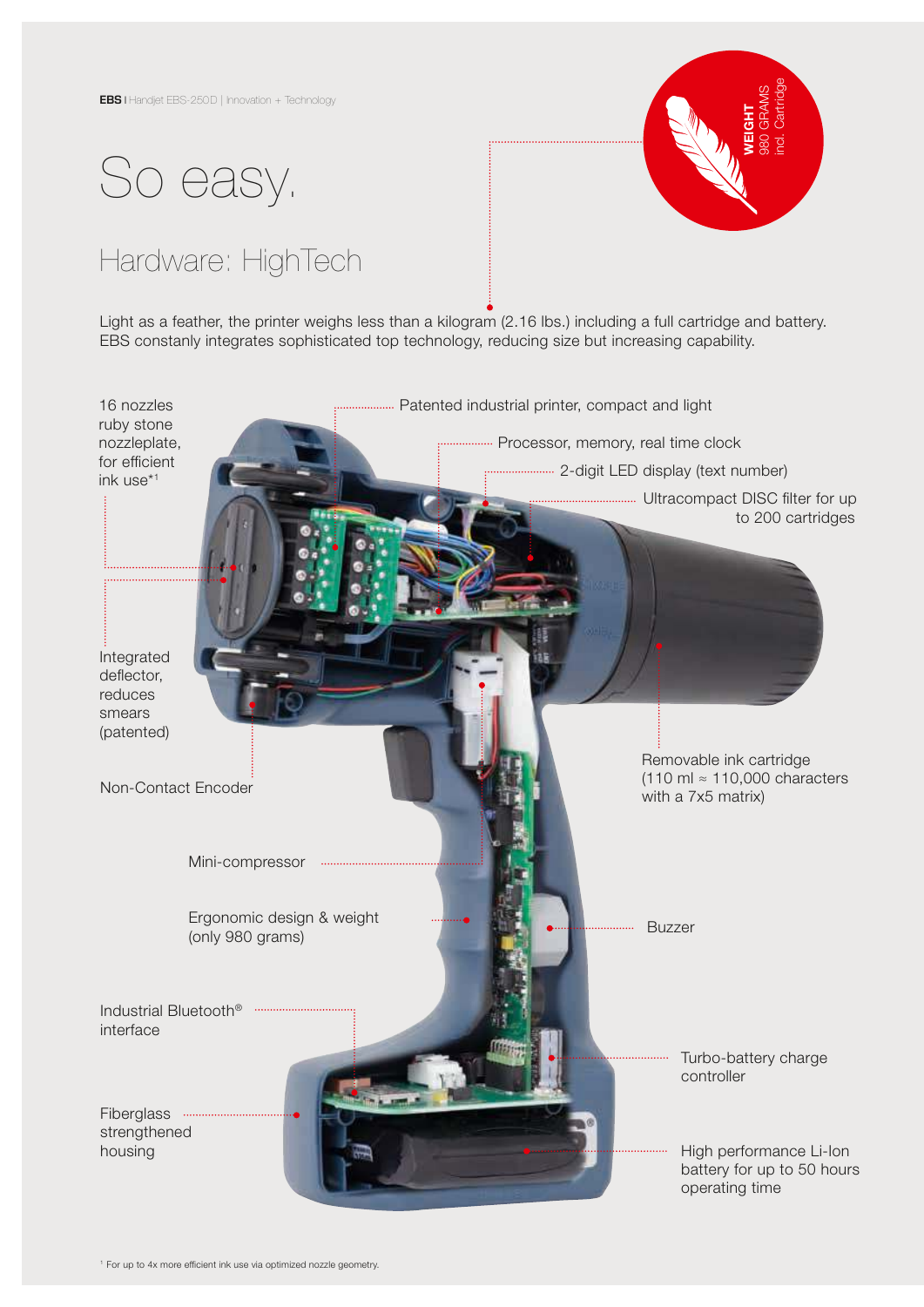



## Hardware: HighTech

Light as a feather, the printer weighs less than a kilogram (2.16 lbs.) including a full cartridge and battery. EBS constanly integrates sophisticated top technology, reducing size but increasing capability.

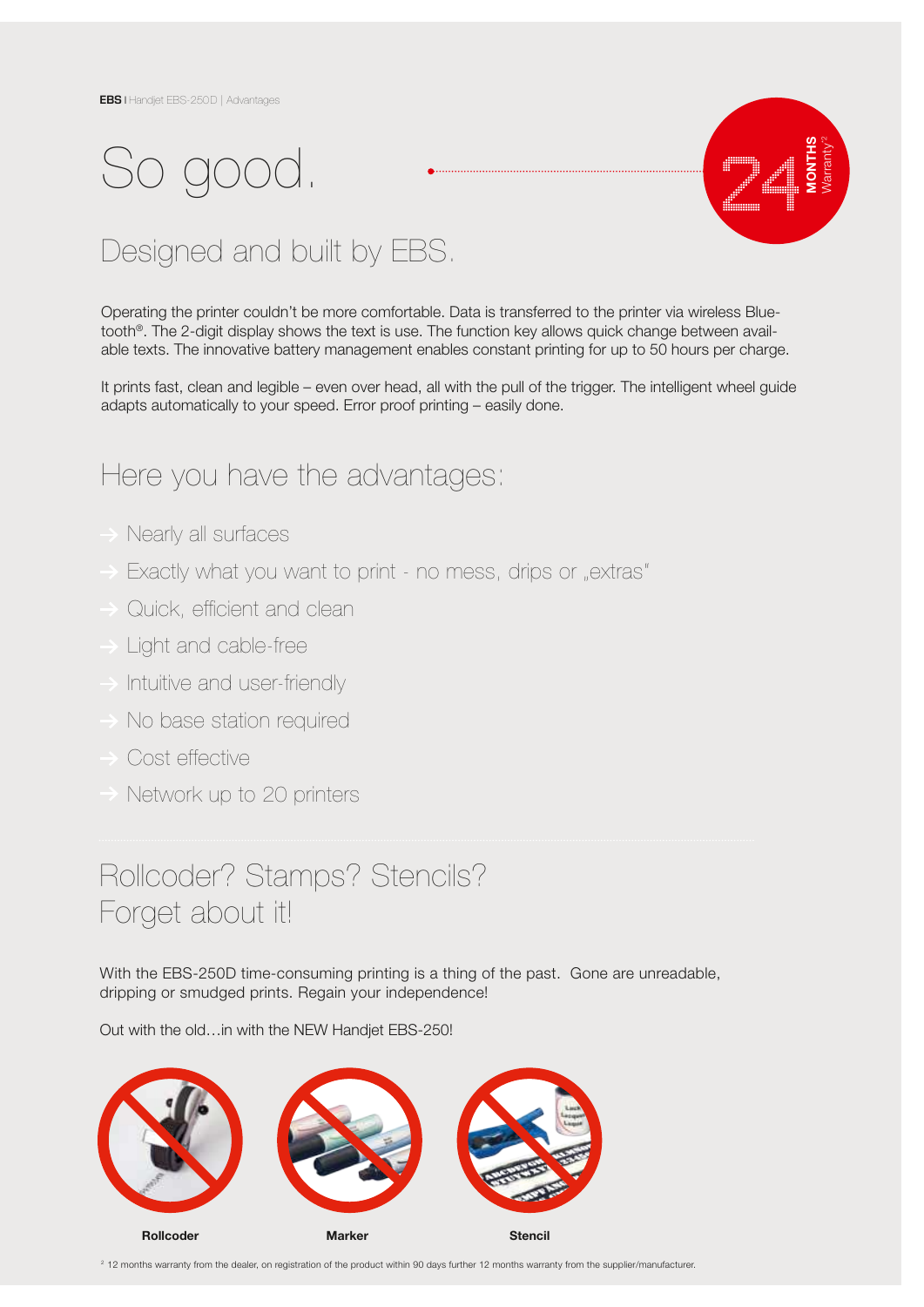# So good.



## Designed and built by EBS.

Operating the printer couldn't be more comfortable. Data is transferred to the printer via wireless Bluetooth®. The 2-digit display shows the text is use. The function key allows quick change between available texts. The innovative battery management enables constant printing for up to 50 hours per charge.

It prints fast, clean and legible – even over head, all with the pull of the trigger. The intelligent wheel guide adapts automatically to your speed. Error proof printing – easily done.

### Here you have the advantages:

- Nearly all surfaces
- Exactly what you want to print no mess, drips or "extras"
- Quick, efficient and clean
- Light and cable-free
- Intuitive and user-friendly
- No base station required
- Cost effective
- Network up to 20 printers

## Rollcoder? Stamps? Stencils? Forget about it!

With the EBS-250D time-consuming printing is a thing of the past. Gone are unreadable, dripping or smudged prints. Regain your independence!

Out with the old…in with the NEW Handjet EBS-250!



<sup>2</sup> 12 months warranty from the dealer, on registration of the product within 90 days further 12 months warranty from the supplier/manufacturer.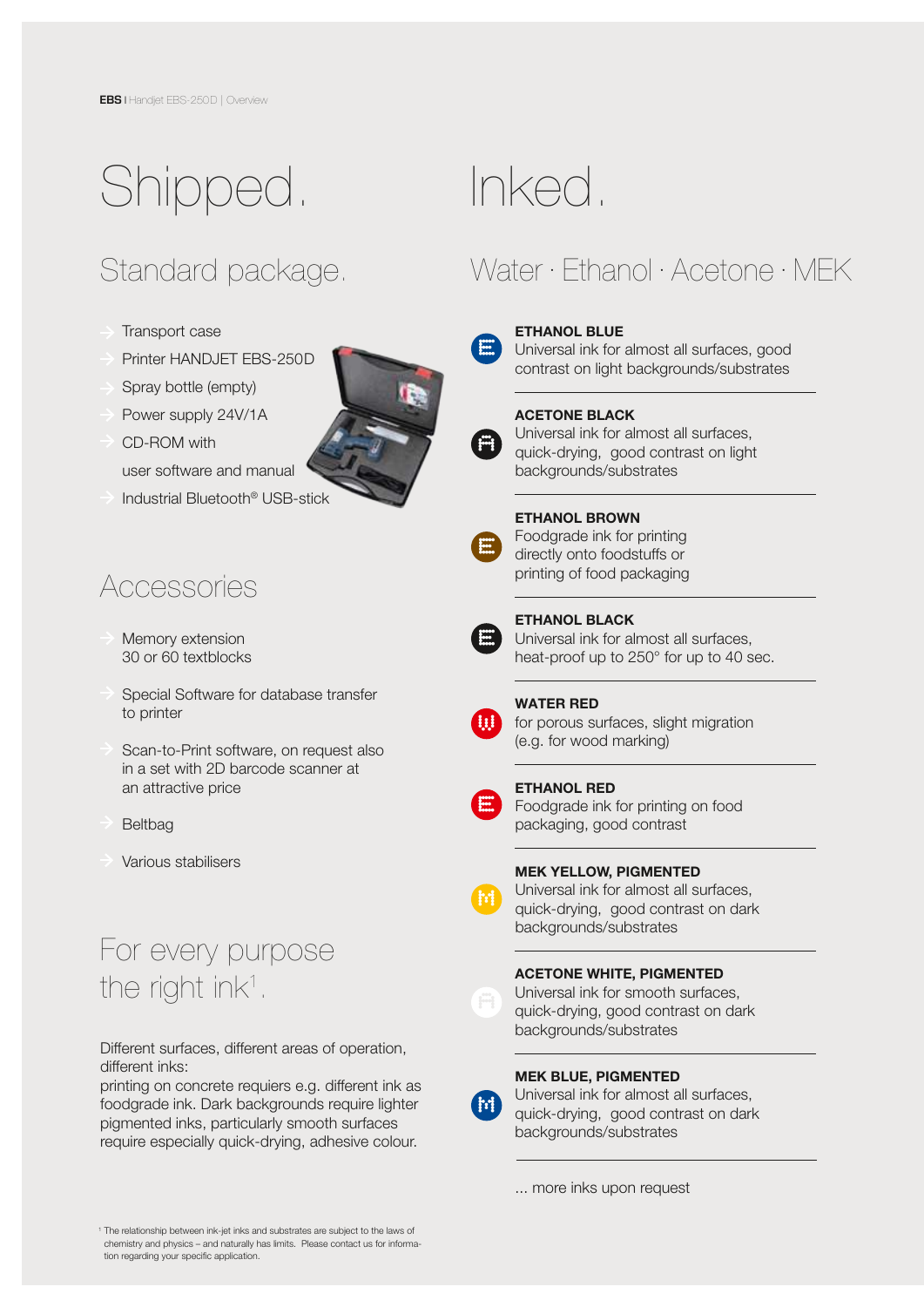# Shipped.

## Standard package.

- Transport case
- Printer HANDJET EBS-250D
- Spray bottle (empty)
- Power supply 24V/1A
- CD-ROM with
- user software and manual
- Industrial Bluetooth® USB-stick

### Accessories

- Memory extension 30 or 60 textblocks
- Special Software for database transfer to printer
- Scan-to-Print software, on request also in a set with 2D barcode scanner at an attractive price
- Beltbag
- Various stabilisers

## For every purpose the right ink<sup>1</sup>.

Different surfaces, different areas of operation, different inks:

printing on concrete requiers e.g. different ink as foodgrade ink. Dark backgrounds require lighter pigmented inks, particularly smooth surfaces require especially quick-drying, adhesive colour.

## Inked.

## Water · Ethanol · Acetone · MEK



### ETHANOL BLUE

Universal ink for almost all surfaces, good contrast on light backgrounds/substrates



#### ACETONE BLACK

Universal ink for almost all surfaces, quick-drying, good contrast on light backgrounds/substrates

#### ETHANOL BROWN

Foodgrade ink for printing directly onto foodstuffs or printing of food packaging



### ETHANOL BLACK

Universal ink for almost all surfaces, heat-proof up to 250° for up to 40 sec.

l,



**E**

**M**

#### WATER RED

for porous surfaces, slight migration (e.g. for wood marking)





Foodgrade ink for printing on food packaging, good contrast

### MEK YELLOW, PIGMENTED

Universal ink for almost all surfaces, quick-drying, good contrast on dark backgrounds/substrates

### ACETONE WHITE, PIGMENTED



**M**

Universal ink for smooth surfaces, quick-drying, good contrast on dark



### MEK BLUE, PIGMENTED

Universal ink for almost all surfaces, quick-drying, good contrast on dark backgrounds/substrates

... more inks upon request

1 The relationship between ink-jet inks and substrates are subject to the laws of chemistry and physics – and naturally has limits. Please contact us for information regarding your specific application.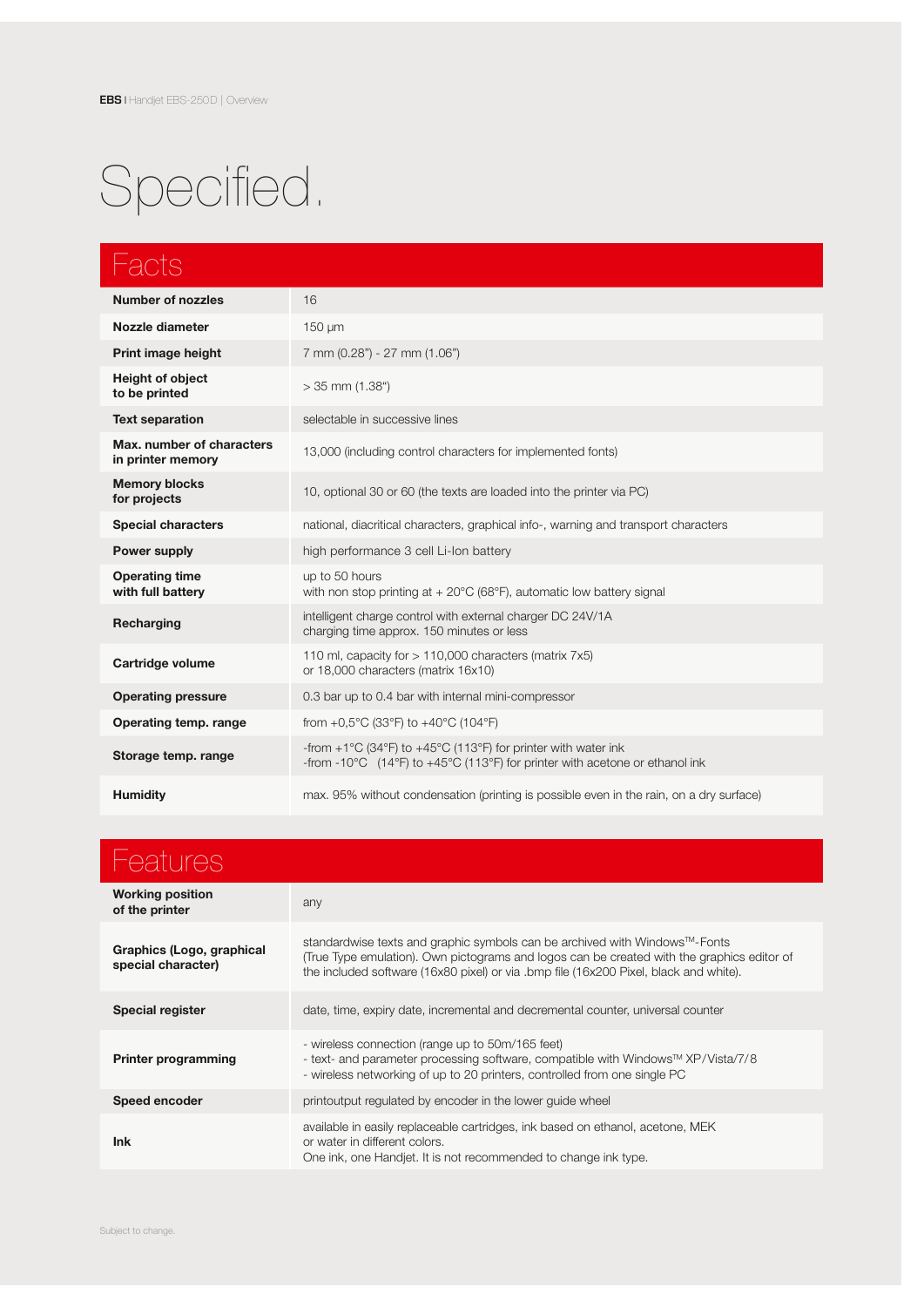# Specified.

| Facts                                          |                                                                                                                                                                                          |
|------------------------------------------------|------------------------------------------------------------------------------------------------------------------------------------------------------------------------------------------|
| <b>Number of nozzles</b>                       | 16                                                                                                                                                                                       |
| Nozzle diameter                                | $150 \mu m$                                                                                                                                                                              |
| Print image height                             | 7 mm (0.28") - 27 mm (1.06")                                                                                                                                                             |
| Height of object<br>to be printed              | $>$ 35 mm (1.38")                                                                                                                                                                        |
| <b>Text separation</b>                         | selectable in successive lines                                                                                                                                                           |
| Max. number of characters<br>in printer memory | 13,000 (including control characters for implemented fonts)                                                                                                                              |
| <b>Memory blocks</b><br>for projects           | 10, optional 30 or 60 (the texts are loaded into the printer via PC)                                                                                                                     |
| <b>Special characters</b>                      | national, diacritical characters, graphical info-, warning and transport characters                                                                                                      |
| <b>Power supply</b>                            | high performance 3 cell Li-Ion battery                                                                                                                                                   |
| <b>Operating time</b><br>with full battery     | up to 50 hours<br>with non stop printing at $+20^{\circ}$ C (68 $^{\circ}$ F), automatic low battery signal                                                                              |
| Recharging                                     | intelligent charge control with external charger DC 24V/1A<br>charging time approx. 150 minutes or less                                                                                  |
| Cartridge volume                               | 110 ml, capacity for $> 110,000$ characters (matrix 7x5)<br>or 18,000 characters (matrix 16x10)                                                                                          |
| <b>Operating pressure</b>                      | 0.3 bar up to 0.4 bar with internal mini-compressor                                                                                                                                      |
| Operating temp. range                          | from +0,5 $^{\circ}$ C (33 $^{\circ}$ F) to +40 $^{\circ}$ C (104 $^{\circ}$ F)                                                                                                          |
| Storage temp. range                            | -from +1°C (34°F) to +45°C (113°F) for printer with water ink<br>-from -10 $^{\circ}$ C (14 $^{\circ}$ F) to +45 $^{\circ}$ C (113 $^{\circ}$ F) for printer with acetone or ethanol ink |
| <b>Humidity</b>                                | max. 95% without condensation (printing is possible even in the rain, on a dry surface)                                                                                                  |

| <b>Features</b>                                 |                                                                                                                                                                                                                                                                   |
|-------------------------------------------------|-------------------------------------------------------------------------------------------------------------------------------------------------------------------------------------------------------------------------------------------------------------------|
| <b>Working position</b><br>of the printer       | any                                                                                                                                                                                                                                                               |
| Graphics (Logo, graphical<br>special character) | standardwise texts and graphic symbols can be archived with Windows™-Fonts<br>(True Type emulation). Own pictograms and logos can be created with the graphics editor of<br>the included software (16x80 pixel) or via .bmp file (16x200 Pixel, black and white). |
| <b>Special register</b>                         | date, time, expiry date, incremental and decremental counter, universal counter                                                                                                                                                                                   |
| <b>Printer programming</b>                      | - wireless connection (range up to 50m/165 feet)<br>- text- and parameter processing software, compatible with Windows™ XP/Vista/7/8<br>- wireless networking of up to 20 printers, controlled from one single PC                                                 |
| Speed encoder                                   | printoutput requlated by encoder in the lower quide wheel                                                                                                                                                                                                         |
| <b>Ink</b>                                      | available in easily replaceable cartridges, ink based on ethanol, acetone, MEK<br>or water in different colors.<br>One ink, one Handjet. It is not recommended to change ink type.                                                                                |